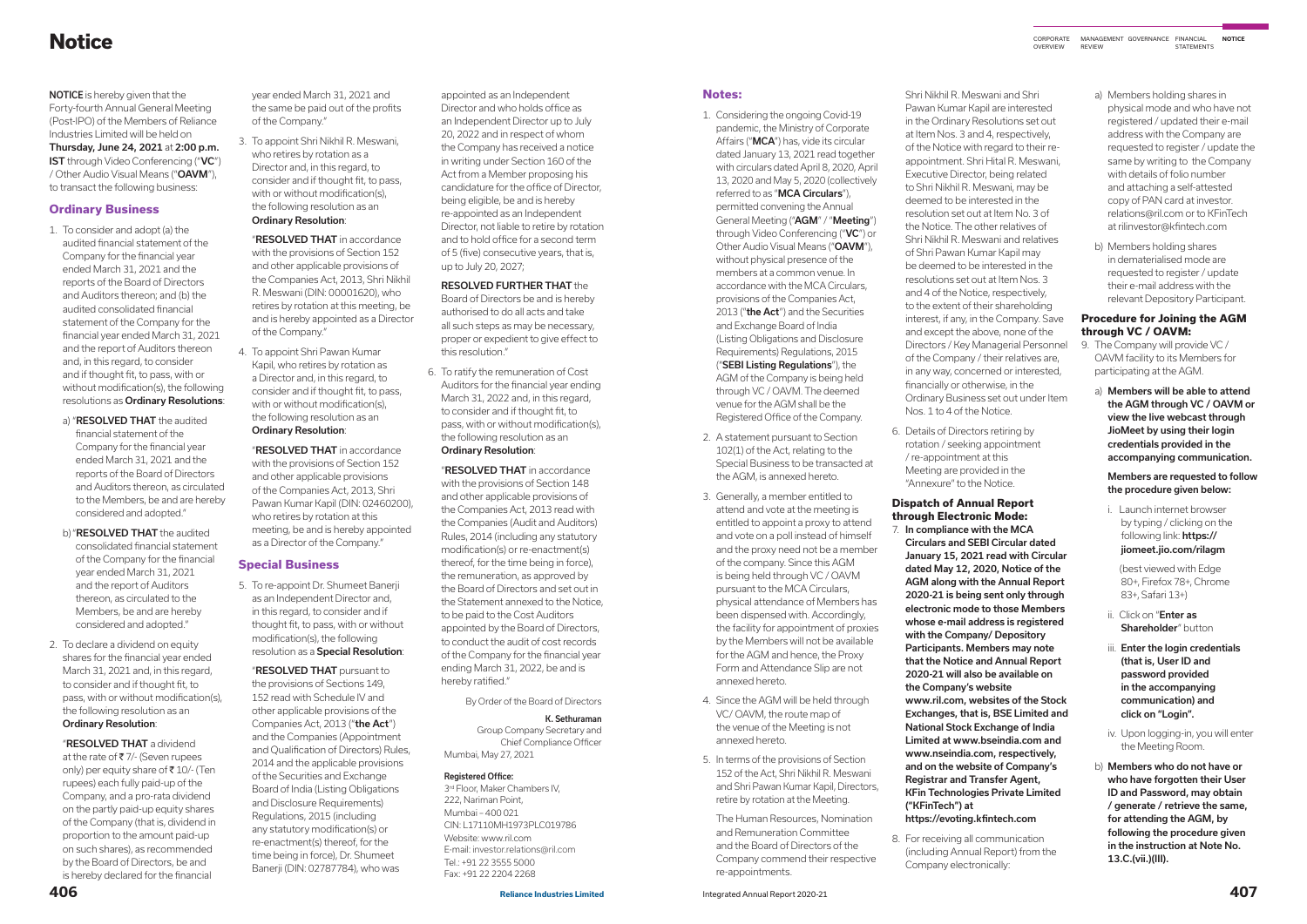<span id="page-0-0"></span>**NOTICE** is hereby given that the Forty-fourth Annual General Meeting (Post-IPO) of the Members of Reliance Industries Limited will be held on Thursday, June 24, 2021 at 2:00 p.m. IST through Video Conferencing ("VC") / Other Audio Visual Means ("OAVM"), to transact the following business:

# **Ordinary Business**

- 1. To consider and adopt (a) the audited financial statement of the Company for the financial year ended March 31, 2021 and the reports of the Board of Directors and Auditors thereon; and (b) the audited consolidated financial statement of the Company for the financial year ended March 31, 2021 and the report of Auditors thereon and, in this regard, to consider and if thought fit, to pass, with or without modification(s), the following resolutions as Ordinary Resolutions:
	- a) "RESOLVED THAT the audited financial statement of the Company for the financial year ended March 31, 2021 and the reports of the Board of Directors and Auditors thereon, as circulated to the Members, be and are hereby considered and adopted."
	- b) "RESOLVED THAT the audited consolidated financial statement of the Company for the financial year ended March 31, 2021 and the report of Auditors thereon, as circulated to the Members, be and are hereby considered and adopted."
- 2. To declare a dividend on equity shares for the financial year ended March 31, 2021 and, in this regard, to consider and if thought fit, to pass, with or without modification(s), the following resolution as an Ordinary Resolution:

"RESOLVED THAT a dividend at the rate of  $\bar{\mathfrak{c}}$  7/- (Seven rupees only) per equity share of  $\overline{\mathfrak{c}}$  10/- (Ten rupees) each fully paid-up of the Company, and a pro-rata dividend on the partly paid-up equity shares of the Company (that is, dividend in proportion to the amount paid-up on such shares), as recommended by the Board of Directors, be and is hereby declared for the financial

# **Notes:**

- 1. Considering the ongoing Covid-19 pandemic, the Ministry of Corporate Affairs ("MCA") has, vide its circular dated January 13, 2021 read together with circulars dated April 8, 2020, April 13, 2020 and May 5, 2020 (collectively referred to as "MCA Circulars"), permitted convening the Annual General Meeting ("AGM" / "Meeting") through Video Conferencing ("VC") or Other Audio Visual Means ("OAVM"), without physical presence of the members at a common venue. In accordance with the MCA Circulars, provisions of the Companies Act, 2013 ("the Act") and the Securities and Exchange Board of India (Listing Obligations and Disclosure Requirements) Regulations, 2015 ("SEBI Listing Regulations"), the AGM of the Company is being held through VC / OAVM. The deemed venue for the AGM shall be the Registered Office of the Company.
- 2. A statement pursuant to Section 102(1) of the Act, relating to the Special Business to be transacted at the AGM, is annexed hereto.
- 3. Generally, a member entitled to attend and vote at the meeting is entitled to appoint a proxy to attend and vote on a poll instead of himself and the proxy need not be a member of the company. Since this AGM is being held through VC / OAVM pursuant to the MCA Circulars, physical attendance of Members has been dispensed with. Accordingly, the facility for appointment of proxies by the Members will not be available for the AGM and hence, the Proxy Form and Attendance Slip are not annexed hereto.
- 4. Since the AGM will be held through VC/ OAVM, the route map of the venue of the Meeting is not annexed hereto.
- 5. In terms of the provisions of Section 152 of the Act, Shri Nikhil R. Meswani and Shri Pawan Kumar Kapil, Directors, retire by rotation at the Meeting.

The Human Resources, Nomination and Remuneration Committee and the Board of Directors of the Company commend their respective re-appointments.

year ended March 31, 2021 and the same be paid out of the profits of the Company."

3. To appoint Shri Nikhil R. Meswani, who retires by rotation as a Director and, in this regard, to consider and if thought fit, to pass, with or without modification(s), the following resolution as an Ordinary Resolution:

"RESOLVED THAT in accordance with the provisions of Section 152 and other applicable provisions of the Companies Act, 2013, Shri Nikhil R. Meswani (DIN: 00001620), who retires by rotation at this meeting, be and is hereby appointed as a Director of the Company."

4. To appoint Shri Pawan Kumar Kapil, who retires by rotation as a Director and, in this regard, to consider and if thought fit, to pass, with or without modification(s), the following resolution as an Ordinary Resolution:

"RESOLVED THAT in accordance with the provisions of Section 152 and other applicable provisions of the Companies Act, 2013, Shri Pawan Kumar Kapil (DIN: 02460200), who retires by rotation at this meeting, be and is hereby appointed as a Director of the Company."

# **Special Business**

5. To re-appoint Dr. Shumeet Banerji as an Independent Director and, in this regard, to consider and if thought fit, to pass, with or without modification(s), the following resolution as a Special Resolution:

"RESOLVED THAT pursuant to the provisions of Sections 149, 152 read with Schedule IV and other applicable provisions of the Companies Act, 2013 ("the Act") and the Companies (Appointment and Qualification of Directors) Rules, 2014 and the applicable provisions of the Securities and Exchange Board of India (Listing Obligations and Disclosure Requirements) Regulations, 2015 (including any statutory modification(s) or re-enactment(s) thereof, for the time being in force), Dr. Shumeet Banerji (DIN: 02787784), who was

MANAGEMENT GOVERNANCE FINANCIAL **NOTICE STATEMENTS REVIEW** CORPORATE OVERVIEW

appointed as an Independent Director and who holds office as an Independent Director up to July 20, 2022 and in respect of whom the Company has received a notice in writing under Section 160 of the Act from a Member proposing his candidature for the office of Director, being eligible, be and is hereby re-appointed as an Independent Director, not liable to retire by rotation and to hold office for a second term of 5 (five) consecutive years, that is, up to July 20, 2027;

# RESOLVED FURTHER THAT the

Board of Directors be and is hereby authorised to do all acts and take all such steps as may be necessary, proper or expedient to give effect to this resolution."

6. To ratify the remuneration of Cost Auditors for the financial year ending March 31, 2022 and, in this regard, to consider and if thought fit, to pass, with or without modification(s), the following resolution as an Ordinary Resolution:

"RESOLVED THAT in accordance with the provisions of Section 148 and other applicable provisions of the Companies Act, 2013 read with the Companies (Audit and Auditors) Rules, 2014 (including any statutory modification(s) or re-enactment(s) thereof, for the time being in force), the remuneration, as approved by the Board of Directors and set out in the Statement annexed to the Notice, to be paid to the Cost Auditors appointed by the Board of Directors, to conduct the audit of cost records of the Company for the financial year ending March 31, 2022, be and is hereby ratified."

By Order of the Board of Directors

# K. Sethuraman

Group Company Secretary and Chief Compliance Officer Mumbai, May 27, 2021

# Registered Office:

3rd Floor, Maker Chambers IV, 222, Nariman Point, Mumbai – 400 021 CIN: L17110MH1973PLC019786 Website: www.ril.com E-mail: [investor.relations@ril.com](mailto:investor.relations@ril.com) Tel.: +91 22 3555 5000 Fax: +91 22 2204 2268

Shri Nikhil R. Meswani and Shri Pawan Kumar Kapil are interested in the Ordinary Resolutions set out at Item Nos. 3 and 4, respectively, of the Notice with regard to their reappointment. Shri Hital R. Meswani, Executive Director, being related to Shri Nikhil R. Meswani, may be deemed to be interested in the resolution set out at Item No. 3 of the Notice. The other relatives of Shri Nikhil R. Meswani and relatives of Shri Pawan Kumar Kapil may be deemed to be interested in the resolutions set out at Item Nos. 3 and 4 of the Notice, respectively, to the extent of their shareholding interest, if any, in the Company. Save and except the above, none of the Directors / Key Managerial Personnel of the Company / their relatives are, in any way, concerned or interested, financially or otherwise, in the Ordinary Business set out under Item Nos. 1 to 4 of the Notice.

6. Details of Directors retiring by rotation / seeking appointment / re-appointment at this Meeting are provided in the "Annexure" to the Notice.

**Dispatch of Annual Report through Electronic Mode:** 7. In compliance with the MCA Circulars and SEBI Circular dated January 15, 2021 read with Circular dated May 12, 2020, Notice of the AGM along with the Annual Report 2020-21 is being sent only through electronic mode to those Members whose e-mail address is registered with the Company/ Depository Participants. Members may note that the Notice and Annual Report 2020-21 will also be available on the Company's website www.ril.com, websites of the Stock Exchanges, that is, BSE Limited and National Stock Exchange of India Limited at [www.bseindia.com](http://www.bseindia.com) and www.nseindia.com, respectively, and on the website of Company's Registrar and Transfer Agent, KFin Technologies Private Limited ("KFinTech") at https://evoting.kfintech.com

8. For receiving all communication (including Annual Report) from the Company electronically:

- a) Members holding shares in physical mode and who have not registered / updated their e-mail address with the Company are requested to register / update the same by writing to the Company with details of folio number and attaching a self-attested copy of PAN card at [investor.](mailto:investor.relations%40ril.com%20?subject=) [relations@ril.com o](mailto:investor.relations%40ril.com%20?subject=)r to KFinTech at rilinvestor@kfintech.com
- b) Members holding shares in dematerialised mode are requested to register / update their e-mail address with the relevant Depository Participant.

# **Procedure for Joining the AGM through VC / OAVM:**

- 9. The Company will provide VC / OAVM facility to its Members for participating at the AGM.
	- a) Members will be able to attend the AGM through VC / OAVM or view the live webcast through JioMeet by using their login credentials provided in the accompanying communication.

### Members are requested to follow the procedure given below:

i. Launch internet browser by typing / clicking on the following link: **[https://](https://jiomeet.jio.com/rilagm)** [jiomeet.jio.com/rilagm](https://jiomeet.jio.com/rilagm)

 (best viewed with Edge 80+, Firefox 78+, Chrome 83+, Safari 13+)

- ii. Click on "Enter as Shareholder" button
- iii. Enter the login credentials (that is, User ID and password provided in the accompanying communication) and click on "Login".
- iv. Upon logging-in, you will enter the Meeting Room.
- b) Members who do not have or who have forgotten their User ID and Password, may obtain / generate / retrieve the same, for attending the AGM, by following the procedure given in the instruction at Note No. 13.C.(vii.)(III).

**406** Integrated Annual Report 2020-21 **407 Reliance Industries Limited**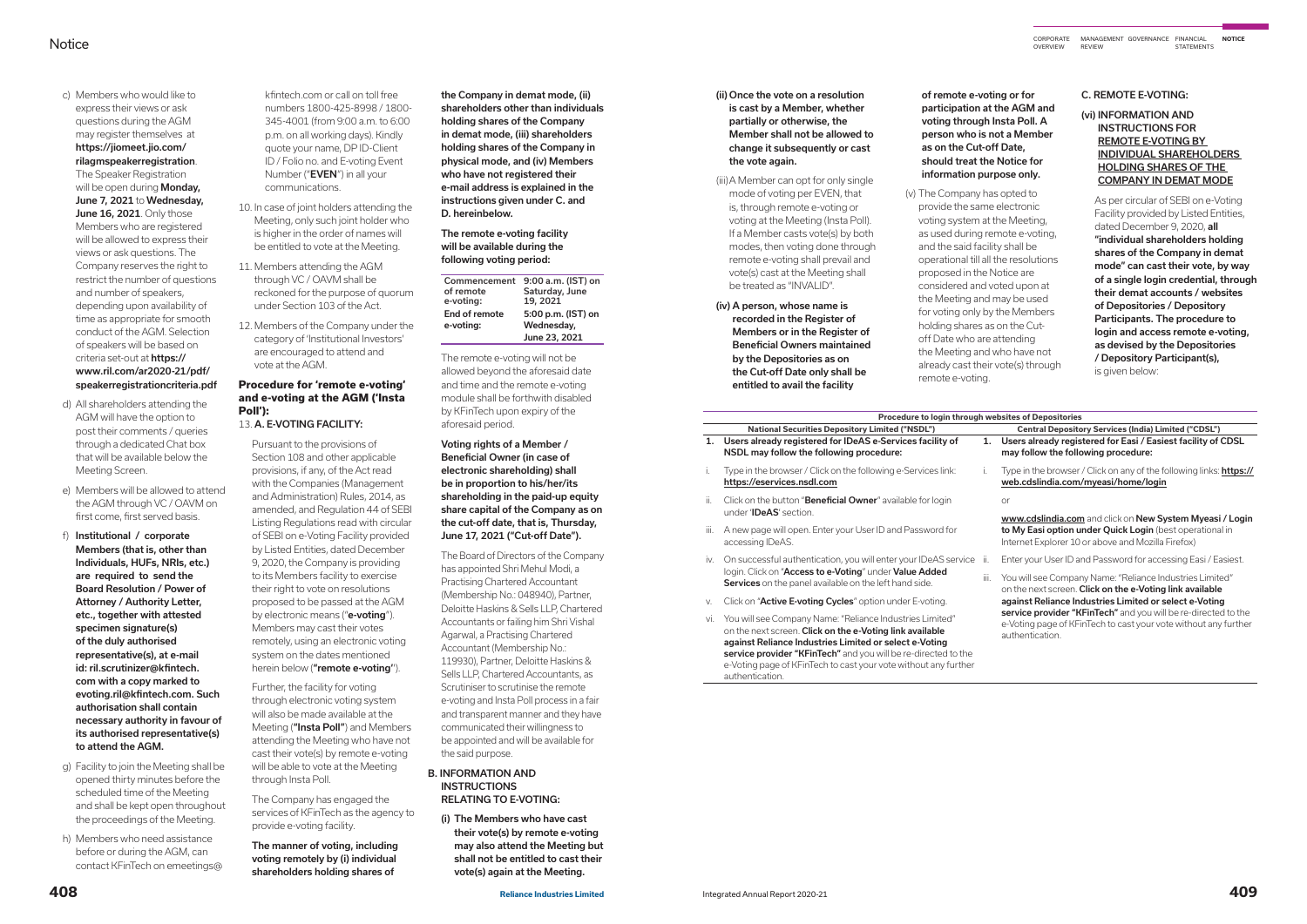- c) Members who would like to express their views or ask questions during the AGM may register themselves at [https://jiomeet.jio.com/](https://jiomeet.jio.com/rilagmspeakerregistration) [rilagmspeakerregistration](https://jiomeet.jio.com/rilagmspeakerregistration). The Speaker Registration will be open during **Monday,** June 7, 2021 to Wednesday. **June 16, 2021**. Only those Members who are registered will be allowed to express their views or ask questions. The Company reserves the right to restrict the number of questions and number of speakers, depending upon availability of time as appropriate for smooth conduct of the AGM. Selection of speakers will be based on criteria set-out at [https://](https://www.ril.com/ar2020-21/pdf/speakerregistrationcriteria.pdf) [www.ril.com/ar2020-21/pdf/](https://www.ril.com/ar2020-21/pdf/speakerregistrationcriteria.pdf) [speakerregistrationcriteria.pdf](https://www.ril.com/ar2020-21/pdf/speakerregistrationcriteria.pdf)
- d) All shareholders attending the AGM will have the option to post their comments / queries through a dedicated Chat box that will be available below the Meeting Screen.
- e) Members will be allowed to attend the AGM through VC / OAVM on first come, first served basis.
- f) Institutional / corporate Members (that is, other than Individuals, HUFs, NRIs, etc.) are required to send the Board Resolution / Power of Attorney / Authority Letter, etc., together with attested specimen signature(s) of the duly authorised representative(s), at e-mail id: [ril.scrutinizer@kfintech.](mailto:ril.scrutinizer%40kfintech.com?subject=) [com](mailto:ril.scrutinizer%40kfintech.com?subject=) with a copy marked to [evoting.ril@kfintech.com](mailto:evoting.ril%40kfintech.com?subject=). Such authorisation shall contain necessary authority in favour of its authorised representative(s) to attend the AGM.
- g) Facility to join the Meeting shall be opened thirty minutes before the scheduled time of the Meeting and shall be kept open throughout the proceedings of the Meeting.
- h) Members who need assistance before or during the AGM, can contact KFinTech on [emeetings@](mailto:emeetings%40kfintech.com?subject=)

(ii) Once the vote on a resolution is cast by a Member, whether partially or otherwise, the Member shall not be allowed to change it subsequently or cast the vote again.

- (iii) A Member can opt for only single mode of voting per EVEN, that is, through remote e-voting or voting at the Meeting (Insta Poll). If a Member casts vote(s) by both modes, then voting done through remote e-voting shall prevail and vote(s) cast at the Meeting shall be treated as "INVALID".
- (iv) A person, whose name is recorded in the Register of Members or in the Register of Beneficial Owners maintained by the Depositories as on the Cut-off Date only shall be entitled to avail the facility

[kfintech.com](mailto:emeetings%40kfintech.com?subject=) or call on toll free numbers 1800-425-8998 / 1800- 345-4001 (from 9:00 a.m. to 6:00 p.m. on all working days). Kindly quote your name, DP ID-Client ID / Folio no. and E-voting Event Number ("EVEN") in all your communications.

- 10. In case of joint holders attending the Meeting, only such joint holder who is higher in the order of names will be entitled to vote at the Meeting.
- 11. Members attending the AGM through VC / OAVM shall be reckoned for the purpose of quorum under Section 103 of the Act.
- 12. Members of the Company under the category of 'Institutional Investors' are encouraged to attend and vote at the AGM.

# **Procedure for 'remote e-voting' and e-voting at the AGM ('Insta Poll'):**

13. A. E-VOTING FACILITY:

As per circular of SEBI on e-Voting Facility provided by Listed Entities, dated December 9, 2020, all "individual shareholders holding shares of the Company in demat mode" can cast their vote, by way of a single login credential, through their demat accounts / websites of Depositories / Depository Participants. The procedure to login and access remote e-voting, as devised by the Depositories / Depository Participant(s), is given below:

Pursuant to the provisions of Section 108 and other applicable provisions, if any, of the Act read with the Companies (Management and Administration) Rules, 2014, as amended, and Regulation 44 of SEBI Listing Regulations read with circular of SEBI on e-Voting Facility provided by Listed Entities, dated December 9, 2020, the Company is providing to its Members facility to exercise their right to vote on resolutions proposed to be passed at the AGM by electronic means ("e-voting"). Members may cast their votes remotely, using an electronic voting system on the dates mentioned herein below ("remote e-voting'').

Further, the facility for voting through electronic voting system will also be made available at the Meeting ("Insta Poll") and Members attending the Meeting who have not cast their vote(s) by remote e-voting will be able to vote at the Meeting through Insta Poll.

The Company has engaged the services of KFinTech as the agency to provide e-voting facility.

- iv. On successful authentication, you will enter your IDeAS service ii. login. Click on "Access to e-Voting" under Value Added Services on the panel available on the left hand side.
- v. Click on "**Active E-voting Cycles**" option under E-voting.
- vi. You will see Company Name: "Reliance Industries Limited" on the next screen. Click on the e-Voting link available against Reliance Industries Limited or select e-Voting service provider "KFinTech" and you will be re-directed to the e-Voting page of KFinTech to cast your vote without any further authentication.

The manner of voting, including voting remotely by (i) individual shareholders holding shares of

the Company in demat mode, (ii) shareholders other than individuals holding shares of the Company in demat mode, (iii) shareholders holding shares of the Company in physical mode, and (iv) Members who have not registered their e-mail address is explained in the instructions given under C. and D. hereinbelow.

#### The remote e-voting facility will be available during the following voting period:

MANAGEMENT GOVERNANCE FINANCIAL **NOTICE STATEMENTS REVIEW** CORPORATE OVERVIEW

| Commencement<br>of remote<br>e-voting: | 9:00 a.m. (IST) on<br>Saturday, June<br>19.2021 |
|----------------------------------------|-------------------------------------------------|
| End of remote                          | 5:00 p.m. (IST) on                              |
| e-voting:                              | Wednesday,                                      |
|                                        | June 23, 2021                                   |

The remote e-voting will not be allowed beyond the aforesaid date and time and the remote e-voting module shall be forthwith disabled by KFinTech upon expiry of the aforesaid period.

# Voting rights of a Member / Beneficial Owner (in case of electronic shareholding) shall be in proportion to his/her/its shareholding in the paid-up equity share capital of the Company as on the cut-off date, that is, Thursday, June 17, 2021 ("Cut-off Date").

The Board of Directors of the Company has appointed Shri Mehul Modi, a Practising Chartered Accountant (Membership No.: 048940), Partner, Deloitte Haskins & Sells LLP, Chartered Accountants or failing him Shri Vishal Agarwal, a Practising Chartered Accountant (Membership No.: 119930), Partner, Deloitte Haskins & Sells LLP, Chartered Accountants, as Scrutiniser to scrutinise the remote e-voting and Insta Poll process in a fair and transparent manner and they have communicated their willingness to be appointed and will be available for the said purpose.

#### B. INFORMATION AND **INSTRUCTIONS** RELATING TO E-VOTING:

(i) The Members who have cast their vote(s) by remote e-voting may also attend the Meeting but shall not be entitled to cast their vote(s) again at the Meeting.

of remote e-voting or for participation at the AGM and voting through Insta Poll. A person who is not a Member as on the Cut-off Date, should treat the Notice for information purpose only.

(v) The Company has opted to provide the same electronic voting system at the Meeting, as used during remote e-voting, and the said facility shall be operational till all the resolutions proposed in the Notice are considered and voted upon at the Meeting and may be used for voting only by the Members holding shares as on the Cutoff Date who are attending the Meeting and who have not already cast their vote(s) through remote e-voting.

#### C. REMOTE E-VOTING:

## (vi) INFORMATION AND INSTRUCTIONS FOR REMOTE E-VOTING BY INDIVIDUAL SHAREHOLDERS HOLDING SHARES OF THE COMPANY IN DEMAT MODE

|      | Procedure to login through we                                                                         |    |
|------|-------------------------------------------------------------------------------------------------------|----|
|      | <b>National Securities Depository Limited ("NSDL")</b>                                                |    |
| 1.   | Users already registered for IDeAS e-Services facility of<br>NSDL may follow the following procedure: | 1. |
| i.   | Type in the browser / Click on the following e-Services link:<br>https://eservices.nsdl.com           |    |
| ii.  | Click on the button " <b>Beneficial Owner</b> " available for login<br>under 'IDeAS' section.         |    |
| III. | A new page will open. Enter your User ID and Password for                                             |    |

accessing IDeAS.

**Procedure to login through websites of Depositories National Securities Depository Limited ("NSDL") Central Depository Services (India) Limited ("CDSL")** Users already registered for Easi / Easiest facility of CDSL may follow the following procedure: Type in the browser / Click on any of the following links: [https://](https://web.cdslindia.com/myeasi/home/login) [web.cdslindia.com/myeasi/home/login](https://web.cdslindia.com/myeasi/home/login) or [www.cdslindia.com](http://www.cdslindia.com) and click on New System Myeasi / Login to My Easi option under Quick Login (best operational in Internet Explorer 10 or above and Mozilla Firefox) Enter your User ID and Password for accessing Easi / Easiest. You will see Company Name: "Reliance Industries Limited" on the next screen. Click on the e-Voting link available against Reliance Industries Limited or select e-Voting service provider "KFinTech" and you will be re-directed to the e-Voting page of KFinTech to cast your vote without any further

authentication.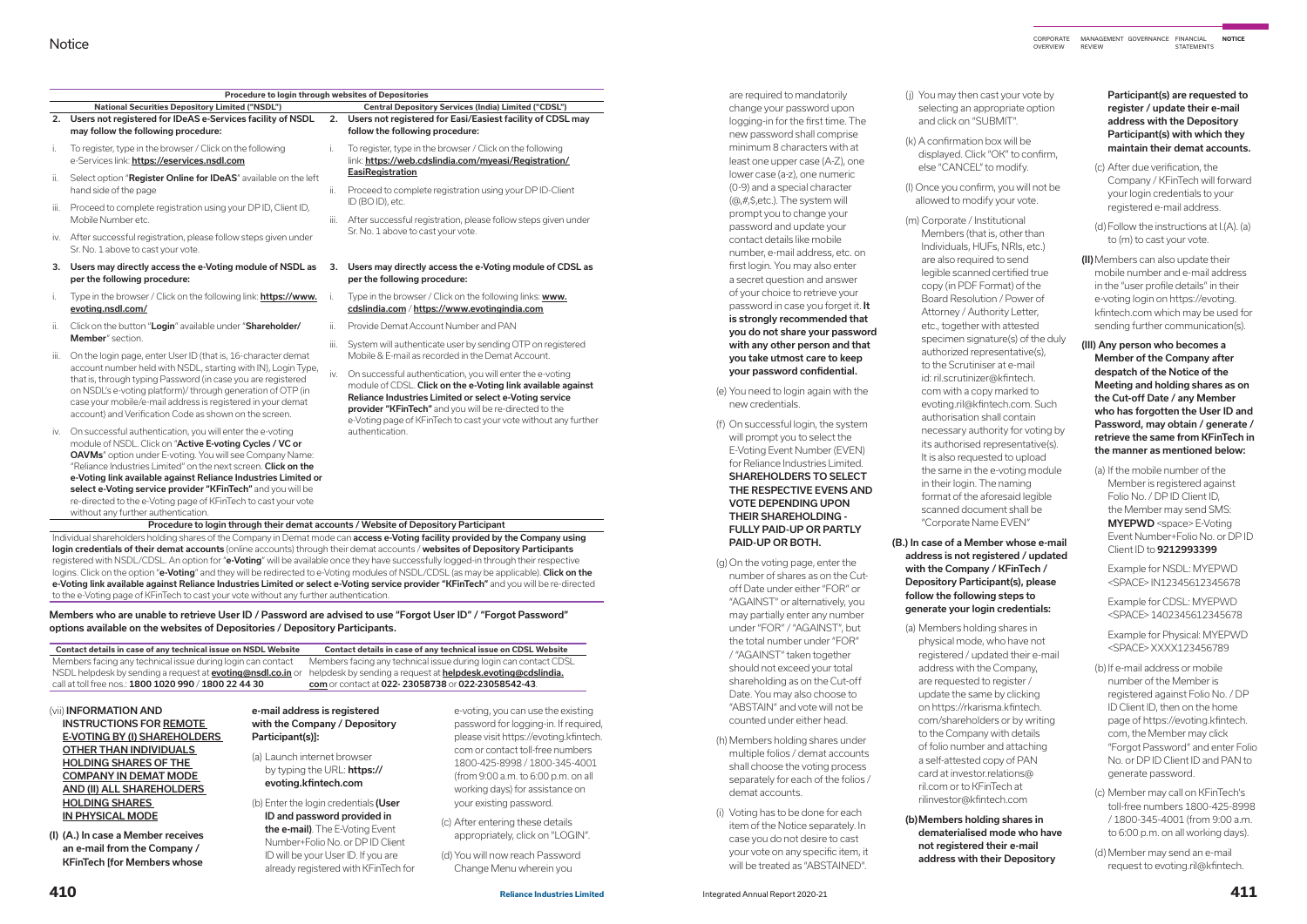# **Notice**

|                                                                                                                                                                                                                                                                                                                      | Procedure to login through websites of Depositories                                                      |      |                                                                                                                                                                                                 |  |
|----------------------------------------------------------------------------------------------------------------------------------------------------------------------------------------------------------------------------------------------------------------------------------------------------------------------|----------------------------------------------------------------------------------------------------------|------|-------------------------------------------------------------------------------------------------------------------------------------------------------------------------------------------------|--|
|                                                                                                                                                                                                                                                                                                                      | <b>National Securities Depository Limited ("NSDL")</b>                                                   |      | <b>Central Depository Services (Indi</b>                                                                                                                                                        |  |
| 2.                                                                                                                                                                                                                                                                                                                   | Users not registered for IDeAS e-Services facility of NSDL<br>may follow the following procedure:        | 2.   | Users not registered for Easi/Easie<br>follow the following procedure:                                                                                                                          |  |
| i.                                                                                                                                                                                                                                                                                                                   | To register, type in the browser / Click on the following<br>e-Services link: https://eservices.nsdl.com | i.   | To register, type in the browser / Clic<br>link: https://web.cdslindia.com/my                                                                                                                   |  |
| ii.                                                                                                                                                                                                                                                                                                                  | Select option "Register Online for IDeAS" available on the left<br>hand side of the page                 | ii.  | EasiRegistration<br>Proceed to complete registration usi                                                                                                                                        |  |
| iii.                                                                                                                                                                                                                                                                                                                 | Proceed to complete registration using your DP ID, Client ID,                                            |      | ID (BOID), etc.                                                                                                                                                                                 |  |
|                                                                                                                                                                                                                                                                                                                      | Mobile Number etc.                                                                                       |      | After successful registration, please                                                                                                                                                           |  |
| İV.                                                                                                                                                                                                                                                                                                                  | After successful registration, please follow steps given under<br>Sr. No. 1 above to cast your vote.     |      | Sr. No. 1 above to cast your vote.                                                                                                                                                              |  |
| 3.                                                                                                                                                                                                                                                                                                                   | Users may directly access the e-Voting module of NSDL as<br>per the following procedure:                 | 3.   | Users may directly access the e-Vo<br>per the following procedure:                                                                                                                              |  |
| i.                                                                                                                                                                                                                                                                                                                   | Type in the browser / Click on the following link: <b>https://www.</b><br>evoting.nsdl.com/              | i.   | Type in the browser / Click on the fol<br>cdslindia.com / https://www.evoti                                                                                                                     |  |
| ii.                                                                                                                                                                                                                                                                                                                  | Click on the button "Login" available under "Shareholder/                                                | ii.  | Provide Demat Account Number and                                                                                                                                                                |  |
|                                                                                                                                                                                                                                                                                                                      | <b>Member</b> " section.                                                                                 | iii. | System will authenticate user by sen                                                                                                                                                            |  |
| iii.                                                                                                                                                                                                                                                                                                                 | On the login page, enter User ID (that is, 16-character demat                                            |      | Mobile & E-mail as recorded in the D                                                                                                                                                            |  |
| account number held with NSDL, starting with IN), Login Type,<br>that is, through typing Password (in case you are registered<br>on NSDL's e-voting platform)/through generation of OTP (in<br>case your mobile/e-mail address is registered in your demat<br>account) and Verification Code as shown on the screen. |                                                                                                          | iv.  | On successful authentication, you w<br>module of CDSL. Click on the e-Vot<br>Reliance Industries Limited or sele<br>provider "KFinTech" and you will be<br>e-Voting page of KFinTech to cast yo |  |
| On successful authentication, you will enter the e-voting<br>iv.<br>module of NSDL. Click on "Active E-voting Cycles / VC or                                                                                                                                                                                         |                                                                                                          |      | authentication.                                                                                                                                                                                 |  |

OAVMs" option under E-voting. You will see Company Name: "Reliance Industries Limited" on the next screen. Click on the e-Voting link available against Reliance Industries Limited or select e-Voting service provider "KFinTech" and you will be re-directed to the e-Voting page of KFinTech to cast your vote without any further authentication.

**National Security Deposits Deposits** est facility of CDSL may

- ck on the following /easi/Registration/
- ing your DP ID-Client
- follow steps given under

# oting module of CDSL as

- llowing links: [www.](http://www.cdslindia.com) ingindia.com
- d PAN
- iding OTP on registered emat Account.

ill enter the e-voting ing link available against **Reliance** Industries Limited or service e re-directed to the our vote without any further

Individual shareholders holding shares of the Company in Demat mode can access e-Voting facility provided by the Company using login credentials of their demat accounts (online accounts) through their demat accounts / websites of Depository Participants registered with NSDL/CDSL. An option for "e-Voting" will be available once they have successfully logged-in through their respective logins. Click on the option "e-Voting" and they will be redirected to e-Voting modules of NSDL/CDSL (as may be applicable). Click on the e-Voting link available against Reliance Industries Limited or select e-Voting service provider "KFinTech" and you will be re-directed to the e-Voting page of KFinTech to cast your vote without any further authentication.

# Procedure to login through their demat accounts / Website of Depository Participant

(b) Enter the login credentials (User ID and password provided in the e-mail). The F-Voting Event Number+Folio No. or DP ID Client ID will be your User ID. If you are already registered with KFinTech for

Members who are unable to retrieve User ID / Password are advised to use "Forgot User ID" / "Forgot Password" options available on the websites of Depositories / Depository Participants.

| Contact details in case of any technical issue on NSDL Website | Contact details in case of any technical issue on CDSL Website                                                                         |
|----------------------------------------------------------------|----------------------------------------------------------------------------------------------------------------------------------------|
| Members facing any technical issue during login can contact    | Members facing any technical issue during login can contact CDSL                                                                       |
|                                                                | NSDL helpdesk by sending a request at <b>evoting@nsdl.co.in</b> or helpdesk by sending a request at <b>helpdesk.evoting@cdslindia.</b> |
| call at toll free nos.: 1800 1020 990 / 1800 22 44 30          | com or contact at 022-23058738 or 022-23058542-43.                                                                                     |

are required to mandatorily change your password upon logging-in for the first time. The new password shall comprise minimum 8 characters with at least one upper case (A-Z), one lower case (a-z), one numeric (0-9) and a special character (@,#,\$,etc.). The system will prompt you to change your password and update your contact details like mobile number, e-mail address, etc. on first login. You may also enter a secret question and answer of your choice to retrieve your password in case you forget it. It is strongly recommended that you do not share your password with any other person and that you take utmost care to keep your password confidential.

MANAGEMENT GOVERNANCE FINANCIAL **NOTICE STATEMENTS REVIEW** CORPORATE OVERVIEW

- (e) You need to login again with the new credentials.
- (f) On successful login, the system will prompt you to select the E-Voting Event Number (EVEN) for Reliance Industries Limited. SHAREHOLDERS TO SELECT THE RESPECTIVE EVENS AND VOTE DEPENDING UPON THEIR SHAREHOLDING - FULLY PAID-UP OR PARTLY PAID-UP OR BOTH.
- (g) On the voting page, enter the number of shares as on the Cutoff Date under either "FOR" or "AGAINST" or alternatively, you may partially enter any number under "FOR" / "AGAINST", but the total number under "FOR" / "AGAINST" taken together should not exceed your total shareholding as on the Cut-off Date. You may also choose to "ABSTAIN" and vote will not be counted under either head.
- (h) Members holding shares under multiple folios / demat accounts shall choose the voting process separately for each of the folios / demat accounts.
- (i) Voting has to be done for each item of the Notice separately. In case you do not desire to cast your vote on any specific item, it will be treated as "ABSTAINED".

(vii) INFORMATION AND INSTRUCTIONS FOR REMOTE E-VOTING BY (I) SHAREHOLDERS OTHER THAN INDIVIDUALS HOLDING SHARES OF THE COMPANY IN DEMAT MODE AND (II) ALL SHAREHOLDERS HOLDING SHARES IN PHYSICAL MODE

(I) (A.) In case a Member receives an e-mail from the Company / KFinTech [for Members whose

e-mail address is registered with the Company / Depository Participant(s)]:

(a) Launch internet browser by typing the URL: **[https://](https://evoting.kfintech.com)** [evoting.kfintech.com](https://evoting.kfintech.com)

e-voting, you can use the existing password for logging-in. If required, please visit https://evoting.kfintech. com or contact toll-free numbers 1800-425-8998 / 1800-345-4001 (from 9:00 a.m. to  $6:00$  p.m. on all working days) for assistance on your existing password.

- (c) After entering these details appropriately, click on "LOGIN".
- (d) You will now reach Password Change Menu wherein you

(j) You may then cast your vote by selecting an appropriate option and click on "SUBMIT".

displayed. Click "OK" to confirm,

- (k) A confirmation box will be else "CANCEL" to modify.
- (l) Once you confirm, you will not be allowed to modify your vote.

(m) Corporate / Institutional Members (that is, other than Individuals, HUFs, NRIs, etc.) are also required to send legible scanned certified true copy (in PDF Format) of the Board Resolution / Power of Attorney / Authority Letter, etc., together with attested specimen signature(s) of the duly authorized representative(s), to the Scrutiniser at e-mail id: [ril.scrutinizer@kfintech.](mailto:ril.scrutinizer@kfintech.com) [com](mailto:ril.scrutinizer@kfintech.com) with a copy marked to [evoting.ril@kfintech.com.](mailto:evoting.ril@kfintech.com) Such authorisation shall contain necessary authority for voting by its authorised representative(s). It is also requested to upload the same in the e-voting module in their login. The naming format of the aforesaid legible scanned document shall be "Corporate Name EVEN"

# (B.) In case of a Member whose e-mail address is not registered / updated with the Company / KFinTech / Depository Participant(s), please follow the following steps to generate your login credentials:

(a) Members holding shares in physical mode, who have not registered / updated their e-mail address with the Company, are requested to register / update the same by clicking on [https://rkarisma.kfintech.](https://rkarisma.kfintech.com/shareholders) [com/shareholders](https://rkarisma.kfintech.com/shareholders) or by writing to the Company with details of folio number and attaching a self-attested copy of PAN card at [investor.relations@](mailto:investor.relations@ril.com) [ril.com](mailto:investor.relations@ril.com) or to KFinTech at [rilinvestor@kfintech.com](mailto:rilinvestor@kfintech.com)

dematerialised mode who have

(b) Members holding shares in not registered their e-mail address with their Depository

# Participant(s) are requested to register / update their e-mail address with the Depository Participant(s) with which they maintain their demat accounts.

- (c) After due verification, the Company / KFinTech will forward your login credentials to your registered e-mail address.
- (d) Follow the instructions at I.(A). (a) to (m) to cast your vote.
- (II)Members can also update their mobile number and e-mail address in the "user profile details" in their e-voting login on [https://evoting.](https://evoting.kfintech.com) [kfintech.com](https://evoting.kfintech.com) which may be used for sending further communication(s).
- (III) Any person who becomes a Member of the Company after despatch of the Notice of the Meeting and holding shares as on the Cut-off Date / any Member who has forgotten the User ID and Password, may obtain / generate / retrieve the same from KFinTech in the manner as mentioned below:
- (a) If the mobile number of the Member is registered against Folio No. / DP ID Client ID, the Member may send SMS: MYEPWD <space> E-Voting Event Number+Folio No. or DP ID Client ID to 9212993399

 Example for NSDL: MYEPWD <SPACE> IN12345612345678

 Example for CDSL: MYEPWD <SPACE> 1402345612345678

 Example for Physical: MYEPWD <SPACE> XXXX123456789

- (b) If e-mail address or mobile number of the Member is registered against Folio No. / DP ID Client ID, then on the home page of [https://evoting.kfintech.](https://evoting.kfintech.com) [com](https://evoting.kfintech.com), the Member may click "Forgot Password" and enter Folio No. or DP ID Client ID and PAN to generate password.
- (c) Member may call on KFinTech's toll-free numbers 1800-425-8998 / 1800-345-4001 (from 9:00 a.m. to 6:00 p.m. on all working days).
- (d) Member may send an e-mail request to [evoting.ril@kfintech.](mailto:evoting.ril@kfintech.com)

**Reliance Industries Limited**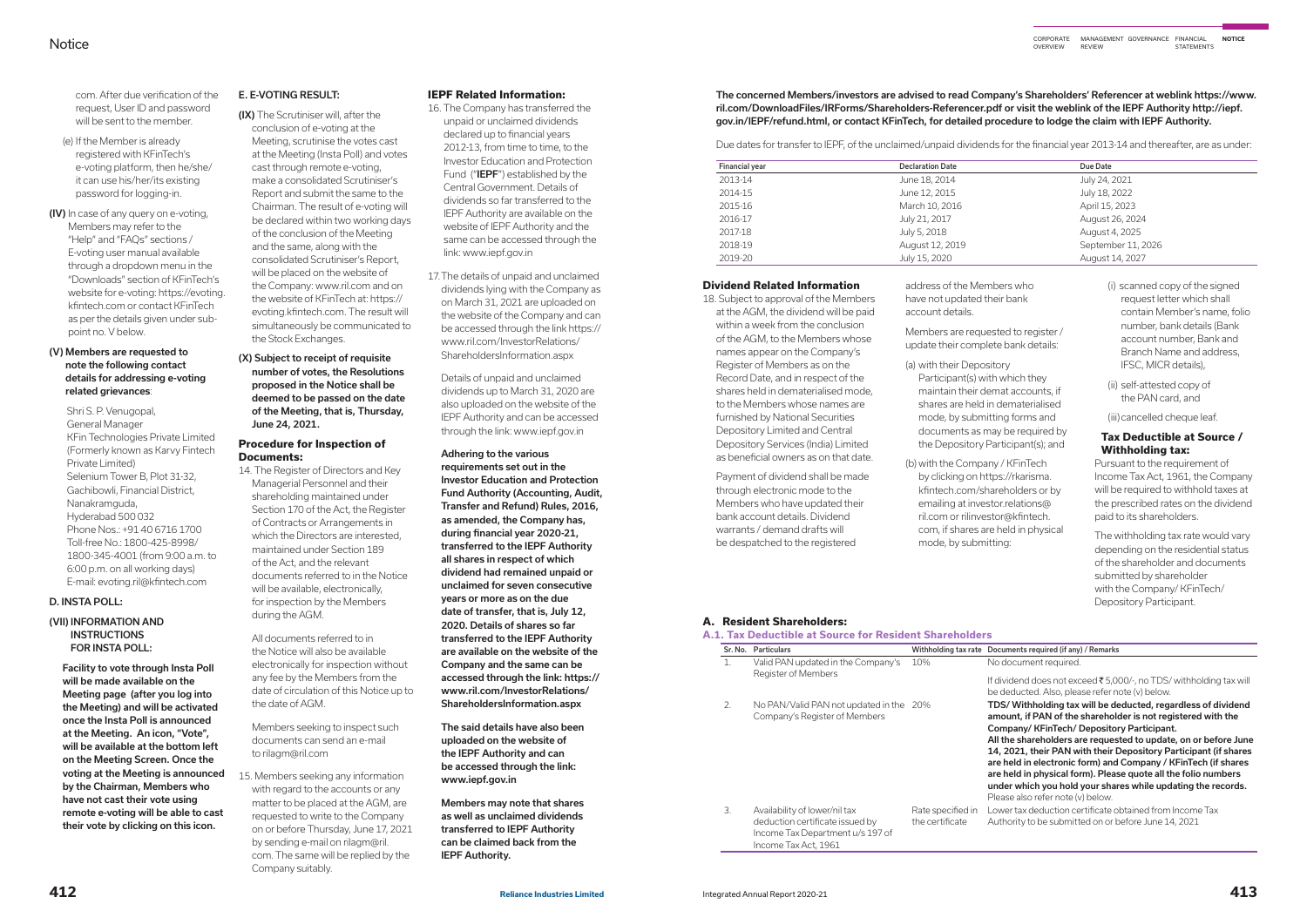[com.](mailto:evoting.ril@kfintech.com) After due verification of the request, User ID and password will be sent to the member.

- (e) If the Member is already registered with KFinTech's e-voting platform, then he/she/ it can use his/her/its existing password for logging-in.
- (IV) In case of any query on e-voting, Members may refer to the "Help" and "FAQs" sections / E-voting user manual available through a dropdown menu in the "Downloads" section of KFinTech's website for e-voting: [https://evoting.](https://evoting.kfintech.com) [kfintech.com](https://evoting.kfintech.com) or contact KFinTech as per the details given under subpoint no. V below.

### (V) Members are requested to note the following contact details for addressing e-voting related grievances:

Shri S. P. Venugopal, General Manager KFin Technologies Private Limited (Formerly known as Karvy Fintech Private Limited) Selenium Tower B, Plot 31-32, Gachibowli, Financial District, Nanakramguda, Hyderabad 500 032 Phone Nos.: +91 40 6716 1700 Toll-free No.: 1800-425-8998/ 1800-345-4001 (from 9:00 a.m. to 6:00 p.m. on all working days) E-mail: [evoting.ril@kfintech.com](mailto:evoting.ril@kfintech.com)

#### D. INSTA POLL:

# (VII) INFORMATION AND **INSTRUCTIONS** FOR INSTA POLL:

Facility to vote through Insta Poll will be made available on the Meeting page (after you log into the Meeting) and will be activated once the Insta Poll is announced at the Meeting. An icon, "Vote", will be available at the bottom left on the Meeting Screen. Once the voting at the Meeting is announced by the Chairman, Members who have not cast their vote using remote e-voting will be able to cast their vote by clicking on this icon.

#### E. E-VOTING RESULT:

- (IX) The Scrutiniser will, after the conclusion of e-voting at the Meeting, scrutinise the votes cast at the Meeting (Insta Poll) and votes cast through remote e-voting, make a consolidated Scrutiniser's Report and submit the same to the Chairman. The result of e-voting will be declared within two working days of the conclusion of the Meeting and the same, along with the consolidated Scrutiniser's Report, will be placed on the website of the Company: [www.ril.com](http://www.ril.com) and on the website of KFinTech at: [https://](https://evoting.kfintech.com) [evoting.kfintech.com.](https://evoting.kfintech.com) The result will simultaneously be communicated to the Stock Exchanges.
- (X) Subject to receipt of requisite number of votes, the Resolutions proposed in the Notice shall be deemed to be passed on the date of the Meeting, that is, Thursday, June 24, 2021.

# **Procedure for Inspection of Documents:**

- 14. The Register of Directors and Key Managerial Personnel and their shareholding maintained under Section 170 of the Act, the Register of Contracts or Arrangements in which the Directors are interested, maintained under Section 189 of the Act, and the relevant documents referred to in the Notice will be available, electronically, for inspection by the Members during the AGM.
- All documents referred to in the Notice will also be available electronically for inspection without any fee by the Members from the date of circulation of this Notice up to the date of AGM.
- Members seeking to inspect such documents can send an e-mail to [rilagm@ril.com](mailto:rilagm%40ril.com?subject=)
- 15. Members seeking any information with regard to the accounts or any matter to be placed at the AGM, are requested to write to the Company on or before Thursday, June 17, 2021 by sending e-mail on [rilagm@ril.](mailto:rilagm%40ril.com?subject=) [com](mailto:rilagm%40ril.com?subject=). The same will be replied by the Company suitably.

## **IEPF Related Information:**

- (i) scanned copy of the signed request letter which shall contain Member's name, folio number, bank details (Bank account number, Bank and Branch Name and address, IFSC, MICR details),
- (ii) self-attested copy of the PAN card, and
- (iii) cancelled cheque leaf.
- 16. The Company has transferred the unpaid or unclaimed dividends declared up to financial years 2012-13, from time to time, to the Investor Education and Protection Fund ("IEPF") established by the Central Government. Details of dividends so far transferred to the IEPF Authority are available on the website of IEPF Authority and the same can be accessed through the link: www.iepf.gov.in
- 17.The details of unpaid and unclaimed dividends lying with the Company as on March 31, 2021 are uploaded on the website of the Company and can be accessed through the link [https://](https://www.ril.com/InvestorRelations/ShareholdersInformation.aspx
) [www.ril.com/InvestorRelations/](https://www.ril.com/InvestorRelations/ShareholdersInformation.aspx
) [ShareholdersInformation.aspx](https://www.ril.com/InvestorRelations/ShareholdersInformation.aspx
)

 $\frac{1}{2}$  dividend does not exceed ₹ 5,000/-, no TDS/ withholding tax will be deducted. Also, please refer note (v) below.

- 20% TDS/ Withholding tax will be deducted, regardless of dividend amount, if PAN of the shareholder is not registered with the Company/ KFinTech/ Depository Participant.
- All the shareholders are requested to update, on or before June 14, 2021, their PAN with their Depository Participant (if shares are held in electronic form) and Company / KFinTech (if shares are held in physical form). Please quote all the folio numbers under which you hold your shares while updating the records. Please also refer note (v) below.

Details of unpaid and unclaimed dividends up to March 31, 2020 are also uploaded on the website of the IEPF Authority and can be accessed through the link: www.iepf.gov.in

# Adhering to the various requirements set out in the

Investor Education and Protection Fund Authority (Accounting, Audit, Transfer and Refund) Rules, 2016, as amended, the Company has, during financial year 2020-21, transferred to the IEPF Authority all shares in respect of which dividend had remained unpaid or unclaimed for seven consecutive years or more as on the due date of transfer, that is, July 12, 2020. Details of shares so far transferred to the IEPF Authority are available on the website of the Company and the same can be accessed through the link: [https://](https://www.ril.com/InvestorRelations/ShareholdersInformation.aspx) [www.ril.com/InvestorRelations/](https://www.ril.com/InvestorRelations/ShareholdersInformation.aspx) [ShareholdersInformation.aspx](https://www.ril.com/InvestorRelations/ShareholdersInformation.aspx) 

The said details have also been uploaded on the website of the IEPF Authority and can be accessed through the link: www.iepf.gov.in

Members may note that shares as well as unclaimed dividends transferred to IEPF Authority can be claimed back from the IEPF Authority.

# The concerned Members/investors are advised to read Company's Shareholders' Referencer at weblink [https://www.](https://www.ril.com/DownloadFiles/IRForms/Shareholders-Referencer.pdf) [ril.com/DownloadFiles/IRForms/Shareholders-Referencer.pdf o](https://www.ril.com/DownloadFiles/IRForms/Shareholders-Referencer.pdf)r visit the weblink of the IEPF Authority [http://iepf.](http://iepf.gov.in/IEPF/refund.html) [gov.in/IEPF/refund.html,](http://iepf.gov.in/IEPF/refund.html) or contact KFinTech, for detailed procedure to lodge the claim with IEPF Authority.

Due dates for transfer to IEPF, of the unclaimed/unpaid dividends for the financial year 2013-14 and thereafter, are as under:

| <b>Financial year</b> | <b>Declaration Date</b> | Due Date           |
|-----------------------|-------------------------|--------------------|
| 2013-14               | June 18, 2014           | July 24, 2021      |
| 2014-15               | June 12, 2015           | July 18, 2022      |
| 2015-16               | March 10, 2016          | April 15, 2023     |
| 2016-17               | July 21, 2017           | August 26, 2024    |
| 2017-18               | July 5, 2018            | August 4, 2025     |
| 2018-19               | August 12, 2019         | September 11, 2026 |
| 2019-20               | July 15, 2020           | August 14, 2027    |

# **Dividend Related Information**

18. Subject to approval of the Members at the AGM, the dividend will be paid within a week from the conclusion of the AGM, to the Members whose names appear on the Company's Register of Members as on the Record Date, and in respect of the shares held in dematerialised mode, to the Members whose names are furnished by National Securities Depository Limited and Central Depository Services (India) Limited as beneficial owners as on that date.

Payment of dividend shall be made through electronic mode to the Members who have updated their bank account details. Dividend warrants / demand drafts will be despatched to the registered

address of the Members who have not updated their bank account details.

Members are requested to register / update their complete bank details:

(a) with their Depository Participant(s) with which they mode, by submitting forms and

- 
- 
- 
- maintain their demat accounts, if shares are held in dematerialised documents as may be required by the Depository Participant(s); and
- (b) with the Company / KFinTech [kfintech.com/shareholders](https://rkarisma.kfintech.com/shareholders) or by [com,](mailto:rilinvestor%40kfintech.com?subject=) if shares are held in physical

by clicking on [https://rkarisma.](https://rkarisma.kfintech.com/shareholders) emailing at [investor.relations@](mailto:investor.relations%40ril.com?subject=) [ril.com](mailto:investor.relations%40ril.com?subject=) or [rilinvestor@kfintech.](mailto:rilinvestor%40kfintech.com?subject=) mode, by submitting:

# **Tax Deductible at Source / Withholding tax:**

Pursuant to the requirement of Income Tax Act, 1961, the Company will be required to withhold taxes at the prescribed rates on the dividend paid to its shareholders.

The withholding tax rate would vary depending on the residential status of the shareholder and documents submitted by shareholder with the Company/ KFinTech/ Depository Participant.

**Ocuments required (if any) / Remarks** 

No document required.

#### **A. Resident Shareholders:**

| Sr. No. | <b>Particulars</b>                                                                          | Withholding tax rate D |         |
|---------|---------------------------------------------------------------------------------------------|------------------------|---------|
| 1.      | Valid PAN updated in the Company's<br>Register of Members                                   | 10%                    | Ν<br>lf |
|         |                                                                                             |                        | b       |
| 2.      | No PAN/Valid PAN not updated in the 20%                                                     |                        |         |
|         | Company's Register of Members                                                               |                        | a<br>C  |
|         |                                                                                             |                        | A       |
|         |                                                                                             |                        | 1       |
|         |                                                                                             |                        | a       |
|         |                                                                                             |                        | a       |
|         |                                                                                             |                        | u       |
| 3.      | Availability of lower/nil tax                                                               | Rate specified in      |         |
|         | deduction certificate issued by<br>Income Tax Department u/s 197 of<br>Income Tax Act, 1961 | the certificate        | A       |

Lower tax deduction certificate obtained from Income Tax Authority to be submitted on or before June 14, 2021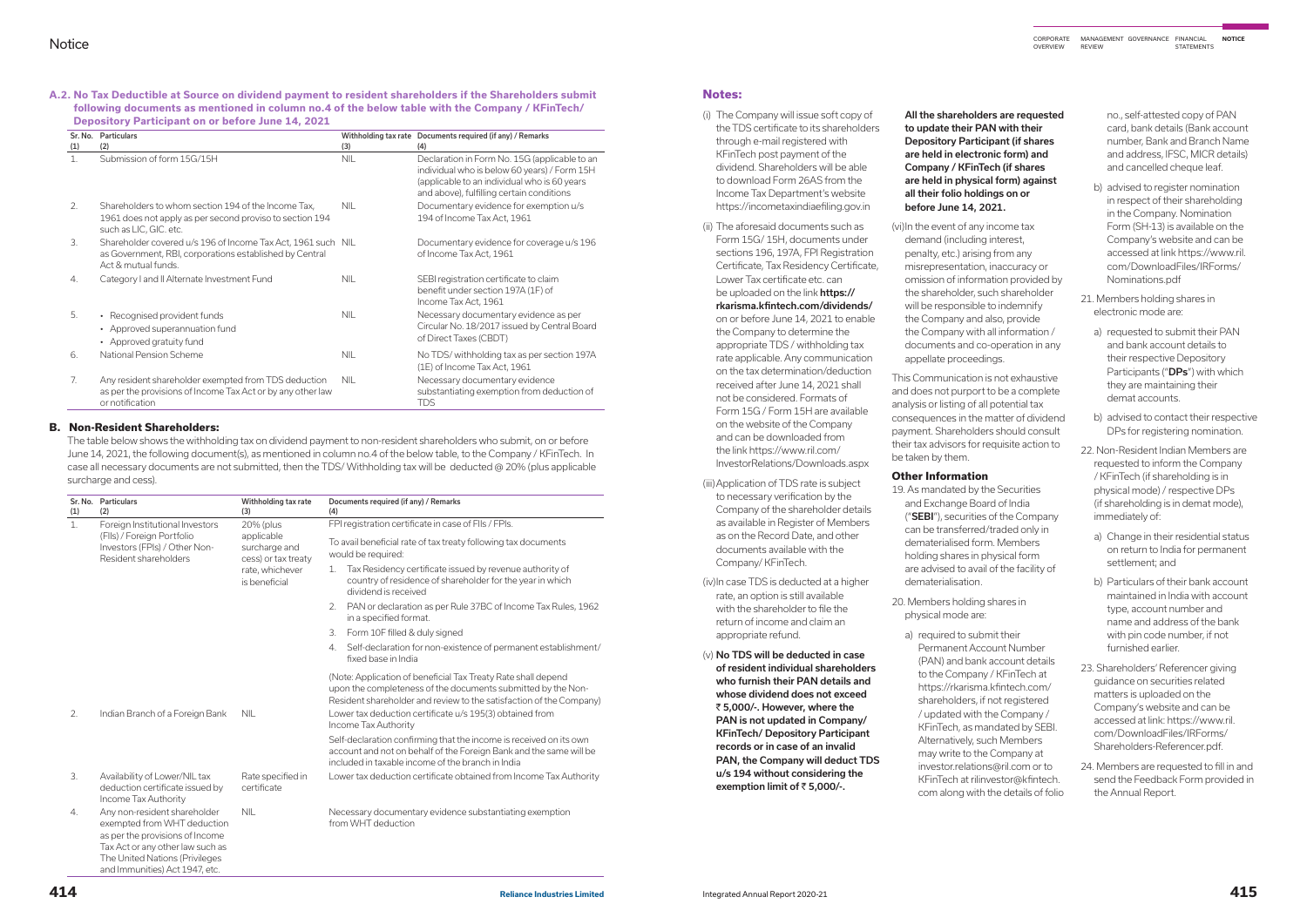#### **A.2. No Tax Deductible at Source on dividend payment to resident shareholders if the Shareholders submit following documents as mentioned in column no.4 of the below table with the Company / KFinTech/ Depository Participant on or before June 14, 2021**

 The table below shows the withholding tax on dividend payment to non-resident shareholders who submit, on or before June 14, 2021, the following document(s), as mentioned in column no.4 of the below table, to the Company / KFinTech. In case all necessary documents are not submitted, then the TDS/ Withholding tax will be deducted @ 20% (plus applicable surcharge and cess).

| Sr. No.<br>(1)   | Particulars<br>(2)                                                                                                                             | (3)        | Withholding tax rate Documents required (if any) / Remarks<br>(4)                                                                                                                          |
|------------------|------------------------------------------------------------------------------------------------------------------------------------------------|------------|--------------------------------------------------------------------------------------------------------------------------------------------------------------------------------------------|
| 1.               | Submission of form 15G/15H                                                                                                                     | <b>NIL</b> | Declaration in Form No. 15G (applicable to an<br>individual who is below 60 years) / Form 15H<br>(applicable to an individual who is 60 years<br>and above), fulfilling certain conditions |
| 2.               | Shareholders to whom section 194 of the Income Tax,<br>1961 does not apply as per second proviso to section 194<br>such as LIC, GIC. etc.      | <b>NIL</b> | Documentary evidence for exemption u/s<br>194 of Income Tax Act, 1961                                                                                                                      |
| 3.               | Shareholder covered u/s 196 of Income Tax Act, 1961 such NIL<br>as Government, RBI, corporations established by Central<br>Act & mutual funds. |            | Documentary evidence for coverage u/s 196<br>of Income Tax Act, 1961                                                                                                                       |
| $\overline{4}$ . | Category I and II Alternate Investment Fund                                                                                                    | <b>NIL</b> | SEBI registration certificate to claim<br>benefit under section 197A (1F) of<br>Income Tax Act, 1961                                                                                       |
| 5.               | • Recognised provident funds<br>• Approved superannuation fund<br>• Approved gratuity fund                                                     | <b>NIL</b> | Necessary documentary evidence as per<br>Circular No. 18/2017 issued by Central Board<br>of Direct Taxes (CBDT)                                                                            |
| 6.               | National Pension Scheme                                                                                                                        | <b>NIL</b> | No TDS/ withholding tax as per section 197A<br>(1E) of Income Tax Act, 1961                                                                                                                |
| 7.               | Any resident shareholder exempted from TDS deduction<br>as per the provisions of Income Tax Act or by any other law<br>or notification         | <b>NIL</b> | Necessary documentary evidence<br>substantiating exemption from deduction of<br>TDS                                                                                                        |

# **B. Non-Resident Shareholders:**

- (i) The Company will issue soft copy of the TDS certificate to its shareholders through e-mail registered with KFinTech post payment of the dividend. Shareholders will be able to download Form 26AS from the Income Tax Department's website https://incometaxindiaefiling.gov.in
- (ii) The aforesaid documents such as Form 15G/ 15H, documents under sections 196, 197A, FPI Registration Certificate, Tax Residency Certificate, Lower Tax certificate etc. can be uploaded on the link https:// rkarisma.kfintech.com/dividends/ on or before June 14, 2021 to enable the Company to determine the appropriate TDS / withholding tax rate applicable. Any communication on the tax determination/deduction received after June 14, 2021 shall not be considered. Formats of Form 15G / Form 15H are available on the website of the Company and can be downloaded from the link [https://www.ril.com/](https://www.ril.com/InvestorRelations/Downloads.aspx) [InvestorRelations/Downloads.aspx](https://www.ril.com/InvestorRelations/Downloads.aspx)
- (iii)Application of TDS rate is subject to necessary verification by the Company of the shareholder details as available in Register of Members as on the Record Date, and other documents available with the Company/ KFinTech.
- (iv)In case TDS is deducted at a higher rate, an option is still available with the shareholder to file the return of income and claim an appropriate refund.
- (v) No TDS will be deducted in case of resident individual shareholders who furnish their PAN details and whose dividend does not exceed ₹5,000/-. However, where the PAN is not updated in Company/ KFinTech/ Depository Participant records or in case of an invalid PAN, the Company will deduct TDS u/s 194 without considering the exemption limit of  $\bar{\tau}$  5,000/-.

| (1)              | Sr. No. Particulars<br>(2)                                                                                                                                                                             | Withholding tax rate<br>(3)                                                                         | Documents required (if any) / Remarks<br>(4)                                                                                                                                                                                                                                             |
|------------------|--------------------------------------------------------------------------------------------------------------------------------------------------------------------------------------------------------|-----------------------------------------------------------------------------------------------------|------------------------------------------------------------------------------------------------------------------------------------------------------------------------------------------------------------------------------------------------------------------------------------------|
| $\overline{1}$ . | Foreign Institutional Investors<br>(Flls) / Foreign Portfolio<br>Investors (FPIs) / Other Non-<br>Resident shareholders                                                                                | 20% (plus<br>applicable<br>surcharge and<br>cess) or tax treaty<br>rate, whichever<br>is beneficial | FPI registration certificate in case of FIIs / FPIs.                                                                                                                                                                                                                                     |
|                  |                                                                                                                                                                                                        |                                                                                                     | To avail beneficial rate of tax treaty following tax documents<br>would be required:                                                                                                                                                                                                     |
|                  |                                                                                                                                                                                                        |                                                                                                     | Tax Residency certificate issued by revenue authority of<br>1.<br>country of residence of shareholder for the year in which<br>dividend is received                                                                                                                                      |
|                  |                                                                                                                                                                                                        |                                                                                                     | PAN or declaration as per Rule 37BC of Income Tax Rules, 1962<br>2.<br>in a specified format.                                                                                                                                                                                            |
|                  |                                                                                                                                                                                                        |                                                                                                     | 3.<br>Form 10F filled & duly signed                                                                                                                                                                                                                                                      |
|                  |                                                                                                                                                                                                        |                                                                                                     | Self-declaration for non-existence of permanent establishment/<br>4.<br>fixed base in India                                                                                                                                                                                              |
| 2.               | Indian Branch of a Foreign Bank                                                                                                                                                                        | <b>NIL</b>                                                                                          | (Note: Application of beneficial Tax Treaty Rate shall depend<br>upon the completeness of the documents submitted by the Non-<br>Resident shareholder and review to the satisfaction of the Company)<br>Lower tax deduction certificate u/s 195(3) obtained from<br>Income Tax Authority |
|                  |                                                                                                                                                                                                        |                                                                                                     | Self-declaration confirming that the income is received on its own<br>account and not on behalf of the Foreign Bank and the same will be<br>included in taxable income of the branch in India                                                                                            |
| 3.               | Availability of Lower/NIL tax<br>deduction certificate issued by<br>Income Tax Authority                                                                                                               | Rate specified in<br>certificate                                                                    | Lower tax deduction certificate obtained from Income Tax Authority                                                                                                                                                                                                                       |
| 4.               | Any non-resident shareholder<br>exempted from WHT deduction<br>as per the provisions of Income<br>Tax Act or any other law such as<br>The United Nations (Privileges<br>and Immunities) Act 1947, etc. | <b>NIL</b>                                                                                          | Necessary documentary evidence substantiating exemption<br>from WHT deduction                                                                                                                                                                                                            |

# **Notes:**

All the shareholders are requested to update their PAN with their Depository Participant (if shares are held in electronic form) and Company / KFinTech (if shares are held in physical form) against all their folio holdings on or before June 14, 2021.

(vi)In the event of any income tax demand (including interest, penalty, etc.) arising from any misrepresentation, inaccuracy or omission of information provided by the shareholder, such shareholder will be responsible to indemnify the Company and also, provide the Company with all information / documents and co-operation in any appellate proceedings.

This Communication is not exhaustive and does not purport to be a complete analysis or listing of all potential tax consequences in the matter of dividend payment. Shareholders should consult their tax advisors for requisite action to be taken by them.

# **Other Information**

- 19. As mandated by the Securities and Exchange Board of India ("SEBI"), securities of the Company can be transferred/traded only in dematerialised form. Members holding shares in physical form are advised to avail of the facility of dematerialisation.
- 20. Members holding shares in physical mode are:
	- a) required to submit their Permanent Account Number (PAN) and bank account details to the Company / KFinTech at [https://rkarisma.kfintech.com/](https://rkarisma.kfintech.com/shareholders) [shareholders,](https://rkarisma.kfintech.com/shareholders) if not registered / updated with the Company / KFinTech, as mandated by SEBI. Alternatively, such Members may write to the Company at [investor.relations@ril.com](mailto:investor.relations%40ril.com?subject=) or to KFinTech at [rilinvestor@kfintech.](mailto:rilinvestor%40kfintech.com?subject=) [com](mailto:rilinvestor%40kfintech.com?subject=) along with the details of folio

no., self-attested copy of PAN card, bank details (Bank account number, Bank and Branch Name and address, IFSC, MICR details) and cancelled cheque leaf.

- b) advised to register nomination in respect of their shareholding in the Company. Nomination Form (SH-13) is available on the Company's website and can be accessed at link [https://www.ril.](https://www.ril.com/DownloadFiles/IRForms/Nominations.pdf) [com/DownloadFiles/IRForms/](https://www.ril.com/DownloadFiles/IRForms/Nominations.pdf) [Nominations.pdf](https://www.ril.com/DownloadFiles/IRForms/Nominations.pdf)
- 21. Members holding shares in electronic mode are:
	- a) requested to submit their PAN and bank account details to their respective Depository Participants ("**DPs**") with which they are maintaining their demat accounts.
- b) advised to contact their respective DPs for registering nomination.
- 22. Non-Resident Indian Members are requested to inform the Company / KFinTech (if shareholding is in physical mode) / respective DPs (if shareholding is in demat mode), immediately of:
	- a) Change in their residential status on return to India for permanent settlement; and
	- b) Particulars of their bank account maintained in India with account type, account number and name and address of the bank with pin code number, if not furnished earlier.
- 23. Shareholders' Referencer giving guidance on securities related matters is uploaded on the Company's website and can be accessed at link: [https://www.ril.](https://www.ril.com/DownloadFiles/IRForms/Shareholders-Referencer.pdf) [com/DownloadFiles/IRForms/](https://www.ril.com/DownloadFiles/IRForms/Shareholders-Referencer.pdf) [Shareholders-Referencer.pdf](https://www.ril.com/DownloadFiles/IRForms/Shareholders-Referencer.pdf).
- 24. Members are requested to fill in and send the Feedback Form provided in the Annual Report.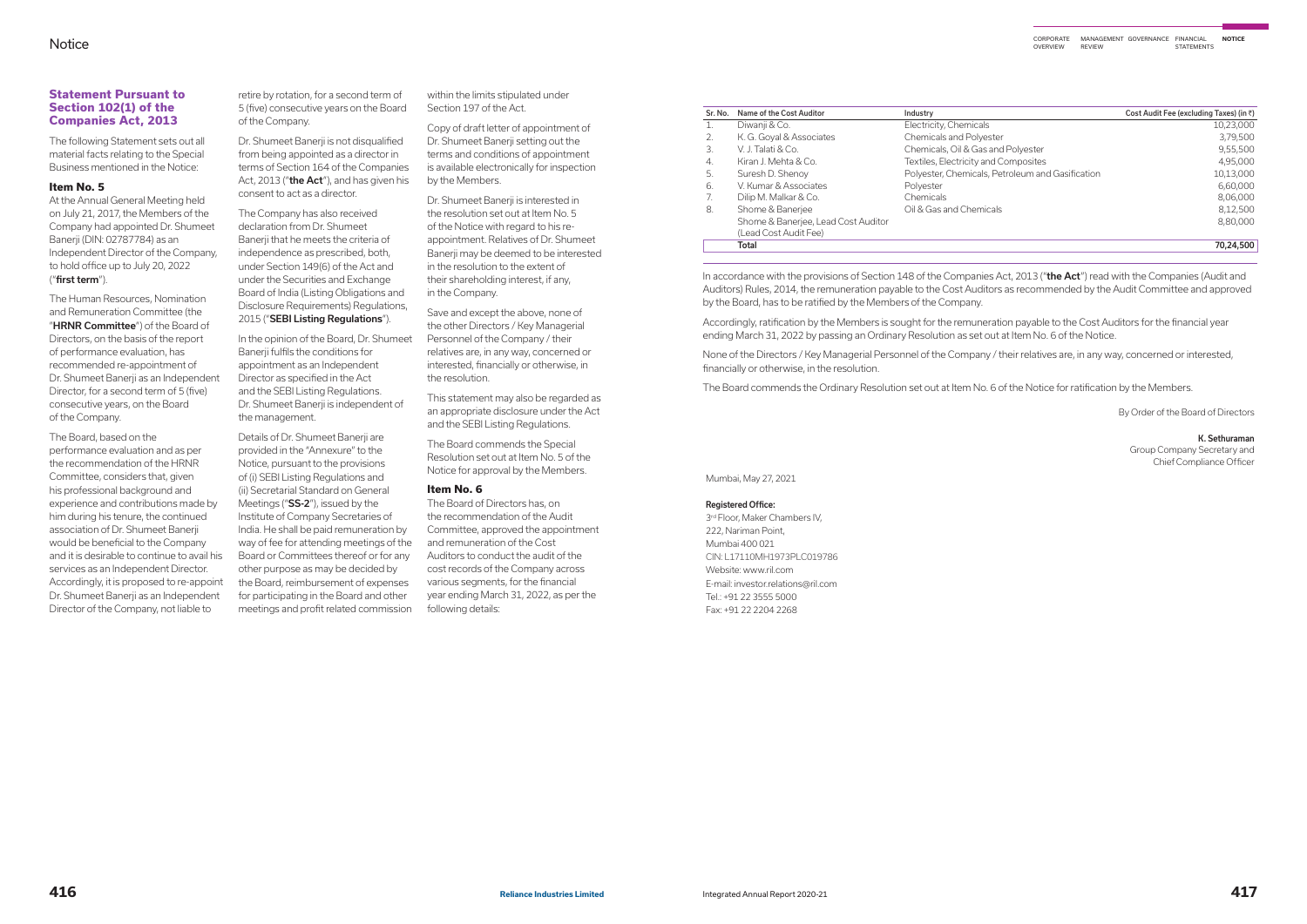## **Statement Pursuant to Section 102(1) of the Companies Act, 2013**

The following Statement sets out all material facts relating to the Special Business mentioned in the Notice:

#### **Item No. 5**

At the Annual General Meeting held on July 21, 2017, the Members of the Company had appointed Dr. Shumeet Banerji (DIN: 02787784) as an Independent Director of the Company, to hold office up to July 20, 2022 ("first term").

The Human Resources, Nomination and Remuneration Committee (the "HRNR Committee") of the Board of Directors, on the basis of the report of performance evaluation, has recommended re-appointment of Dr. Shumeet Banerji as an Independent Director, for a second term of 5 (five) consecutive years, on the Board of the Company.

The Board, based on the performance evaluation and as per the recommendation of the HRNR Committee, considers that, given his professional background and experience and contributions made by him during his tenure, the continued association of Dr. Shumeet Banerji would be beneficial to the Company and it is desirable to continue to avail his services as an Independent Director. Accordingly, it is proposed to re-appoint Dr. Shumeet Banerji as an Independent Director of the Company, not liable to

retire by rotation, for a second term of 5 (five) consecutive years on the Board of the Company.

Details of Dr. Shumeet Banerii are provided in the "Annexure" to the Notice, pursuant to the provisions of (i) SEBI Listing Regulations and (ii) Secretarial Standard on General Meetings ("SS-2"), issued by the Institute of Company Secretaries of India. He shall be paid remuneration by way of fee for attending meetings of the Board or Committees thereof or for any other purpose as may be decided by the Board, reimbursement of expenses for participating in the Board and other meetings and profit related commission

Dr. Shumeet Banerji is not disqualified from being appointed as a director in terms of Section 164 of the Companies Act, 2013 ("**the Act**"), and has given his consent to act as a director.

Dr. Shumeet Banerii is interested in the resolution set out at Item No. 5 of the Notice with regard to his reappointment. Relatives of Dr. Shumeet Banerji may be deemed to be interested in the resolution to the extent of their shareholding interest, if any, in the Company.

The Company has also received declaration from Dr. Shumeet Banerji that he meets the criteria of independence as prescribed, both, under Section 149(6) of the Act and under the Securities and Exchange Board of India (Listing Obligations and Disclosure Requirements) Regulations, 2015 ("SEBI Listing Regulations").

In the opinion of the Board, Dr. Shumeet Banerji fulfils the conditions for appointment as an Independent Director as specified in the Act and the SEBI Listing Regulations. Dr. Shumeet Banerii is independent of the management.

In accordance with the provisions of Section 148 of the Companies Act, 2013 ("the Act") read with the Companies (Audit and Auditors) Rules, 2014, the remuneration payable to the Cost Auditors as recommended by the Audit Committee and approved by the Board, has to be ratified by the Members of the Company.

within the limits stipulated under Section 197 of the Act.

Copy of draft letter of appointment of Dr. Shumeet Banerii setting out the terms and conditions of appointment is available electronically for inspection by the Members.

> 3<sup>rd</sup> Floor, Maker Chambers IV, 222, Nariman Point, Mumbai 400 021 CIN: L17110MH1973PLC019786 Website: www.ril.com E-mail: investor.relations@ril.com Tel.: +91 22 3555 5000 Fax: +91 22 2204 2268

MANAGEMENT GOVERNANCE FINANCIAL **NOTICE STATEMENTS REVIEW** CORPORATE OVERVIEW

Save and except the above, none of the other Directors / Key Managerial Personnel of the Company / their relatives are, in any way, concerned or interested, financially or otherwise, in the resolution.

This statement may also be regarded as an appropriate disclosure under the Act and the SEBI Listing Regulations.

The Board commends the Special Resolution set out at Item No. 5 of the Notice for approval by the Members.

#### **Item No. 6**

The Board of Directors has, on the recommendation of the Audit Committee, approved the appointment and remuneration of the Cost Auditors to conduct the audit of the cost records of the Company across various segments, for the financial year ending March 31, 2022, as per the following details:

| Sr. No. | Name of the Cost Auditor            | Industry                                         | Cost Audit Fee (excluding Taxes) (in ₹) |
|---------|-------------------------------------|--------------------------------------------------|-----------------------------------------|
|         | Diwanji & Co.                       | Electricity, Chemicals                           | 10,23,000                               |
|         | K. G. Goyal & Associates            | <b>Chemicals and Polyester</b>                   | 3,79,500                                |
| 3.      | V. J. Talati & Co.                  | Chemicals, Oil & Gas and Polyester               | 9,55,500                                |
| 4.      | Kiran J. Mehta & Co.                | Textiles, Electricity and Composites             | 4,95,000                                |
| 5.      | Suresh D. Shenoy                    | Polyester, Chemicals, Petroleum and Gasification | 10,13,000                               |
| 6.      | V. Kumar & Associates               | Polyester                                        | 6,60,000                                |
|         | Dilip M. Malkar & Co.               | Chemicals                                        | 8,06,000                                |
| 8.      | Shome & Banerjee                    | Oil & Gas and Chemicals                          | 8,12,500                                |
|         | Shome & Banerjee, Lead Cost Auditor |                                                  | 8,80,000                                |
|         | (Lead Cost Audit Fee)               |                                                  |                                         |
|         | Total                               |                                                  | 70.24.500                               |

Accordingly, ratification by the Members is sought for the remuneration payable to the Cost Auditors for the financial year ending March 31, 2022 by passing an Ordinary Resolution as set out at Item No. 6 of the Notice.

None of the Directors / Key Managerial Personnel of the Company / their relatives are, in any way, concerned or interested, financially or otherwise, in the resolution.

The Board commends the Ordinary Resolution set out at Item No. 6 of the Notice for ratification by the Members.

By Order of the Board of Directors

K. Sethuraman Group Company Secretary and Chief Compliance Officer

#### Mumbai, May 27, 2021

#### Registered Office: